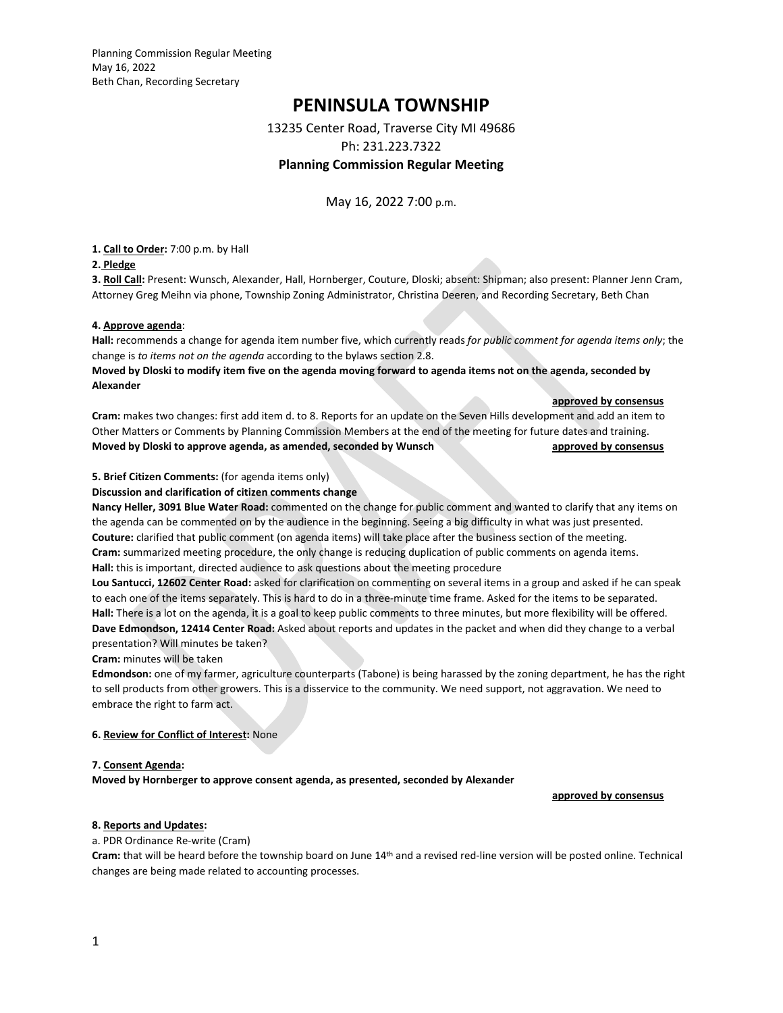Planning Commission Regular Meeting May 16, 2022 Beth Chan, Recording Secretary

# **PENINSULA TOWNSHIP**

13235 Center Road, Traverse City MI 49686

Ph: 231.223.7322

# **Planning Commission Regular Meeting**

May 16, 2022 7:00 p.m.

**1. Call to Order:** 7:00 p.m. by Hall

### **2. Pledge**

**3. Roll Call:** Present: Wunsch, Alexander, Hall, Hornberger, Couture, Dloski; absent: Shipman; also present: Planner Jenn Cram, Attorney Greg Meihn via phone, Township Zoning Administrator, Christina Deeren, and Recording Secretary, Beth Chan

### **4. Approve agenda**:

**Hall:** recommends a change for agenda item number five, which currently reads *for public comment for agenda items only*; the change is *to items not on the agenda* according to the bylaws section 2.8.

**Moved by Dloski to modify item five on the agenda moving forward to agenda items not on the agenda, seconded by Alexander**

#### **approved by consensus**

**Cram:** makes two changes: first add item d. to 8. Reports for an update on the Seven Hills development and add an item to Other Matters or Comments by Planning Commission Members at the end of the meeting for future dates and training. **Moved by Dloski to approve agenda, as amended, seconded by Wunsch approved by consensus approved by consensus** 

### **5. Brief Citizen Comments:** (for agenda items only)

#### **Discussion and clarification of citizen comments change**

**Nancy Heller, 3091 Blue Water Road:** commented on the change for public comment and wanted to clarify that any items on the agenda can be commented on by the audience in the beginning. Seeing a big difficulty in what was just presented. **Couture:** clarified that public comment (on agenda items) will take place after the business section of the meeting. **Cram:** summarized meeting procedure, the only change is reducing duplication of public comments on agenda items. **Hall:** this is important, directed audience to ask questions about the meeting procedure

**Lou Santucci, 12602 Center Road:** asked for clarification on commenting on several items in a group and asked if he can speak to each one of the items separately. This is hard to do in a three-minute time frame. Asked for the items to be separated. **Hall:** There is a lot on the agenda, it is a goal to keep public comments to three minutes, but more flexibility will be offered. **Dave Edmondson, 12414 Center Road:** Asked about reports and updates in the packet and when did they change to a verbal presentation? Will minutes be taken?

#### **Cram:** minutes will be taken

**Edmondson:** one of my farmer, agriculture counterparts (Tabone) is being harassed by the zoning department, he has the right to sell products from other growers. This is a disservice to the community. We need support, not aggravation. We need to embrace the right to farm act.

#### **6. Review for Conflict of Interest:** None

#### **7. Consent Agenda:**

**Moved by Hornberger to approve consent agenda, as presented, seconded by Alexander** 

 **approved by consensus**

#### **8. Reports and Updates:**

#### a. PDR Ordinance Re-write (Cram)

**Cram:** that will be heard before the township board on June 14th and a revised red-line version will be posted online. Technical changes are being made related to accounting processes.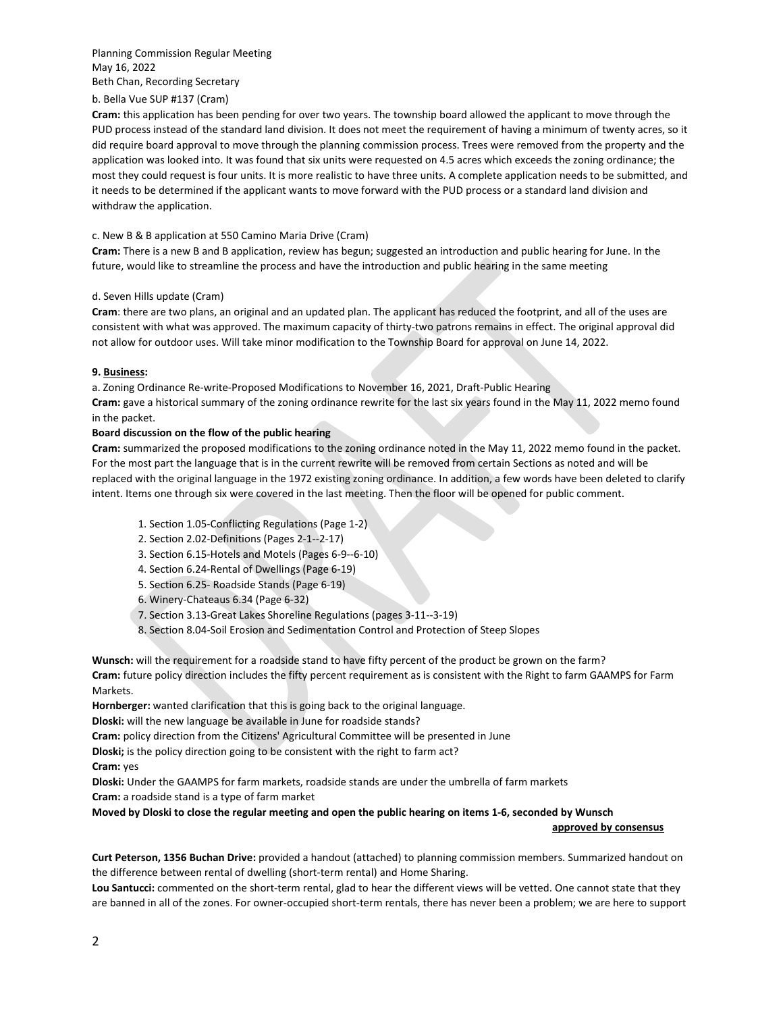#### Planning Commission Regular Meeting May 16, 2022 Beth Chan, Recording Secretary

## b. Bella Vue SUP #137 (Cram)

**Cram:** this application has been pending for over two years. The township board allowed the applicant to move through the PUD process instead of the standard land division. It does not meet the requirement of having a minimum of twenty acres, so it did require board approval to move through the planning commission process. Trees were removed from the property and the application was looked into. It was found that six units were requested on 4.5 acres which exceeds the zoning ordinance; the most they could request is four units. It is more realistic to have three units. A complete application needs to be submitted, and it needs to be determined if the applicant wants to move forward with the PUD process or a standard land division and withdraw the application.

### c. New B & B application at 550 Camino Maria Drive (Cram)

**Cram:** There is a new B and B application, review has begun; suggested an introduction and public hearing for June. In the future, would like to streamline the process and have the introduction and public hearing in the same meeting

### d. Seven Hills update (Cram)

**Cram**: there are two plans, an original and an updated plan. The applicant has reduced the footprint, and all of the uses are consistent with what was approved. The maximum capacity of thirty-two patrons remains in effect. The original approval did not allow for outdoor uses. Will take minor modification to the Township Board for approval on June 14, 2022.

### **9. Business:**

a. Zoning Ordinance Re-write-Proposed Modifications to November 16, 2021, Draft-Public Hearing **Cram:** gave a historical summary of the zoning ordinance rewrite for the last six years found in the May 11, 2022 memo found in the packet.

# **Board discussion on the flow of the public hearing**

**Cram:** summarized the proposed modifications to the zoning ordinance noted in the May 11, 2022 memo found in the packet. For the most part the language that is in the current rewrite will be removed from certain Sections as noted and will be replaced with the original language in the 1972 existing zoning ordinance. In addition, a few words have been deleted to clarify intent. Items one through six were covered in the last meeting. Then the floor will be opened for public comment.

- 1. Section 1.05-Conflicting Regulations (Page 1-2)
- 2. Section 2.02-Definitions (Pages 2-1--2-17)
- 3. Section 6.15-Hotels and Motels (Pages 6-9--6-10)
- 4. Section 6.24-Rental of Dwellings (Page 6-19)
- 5. Section 6.25- Roadside Stands (Page 6-19)
- 6. Winery-Chateaus 6.34 (Page 6-32)
- 7. Section 3.13-Great Lakes Shoreline Regulations (pages 3-11--3-19)
- 8. Section 8.04-Soil Erosion and Sedimentation Control and Protection of Steep Slopes

**Wunsch:** will the requirement for a roadside stand to have fifty percent of the product be grown on the farm? **Cram:** future policy direction includes the fifty percent requirement as is consistent with the Right to farm GAAMPS for Farm Markets.

**Hornberger:** wanted clarification that this is going back to the original language.

**Dloski:** will the new language be available in June for roadside stands?

**Cram:** policy direction from the Citizens' Agricultural Committee will be presented in June

**Dloski;** is the policy direction going to be consistent with the right to farm act?

**Cram:** yes

**Dloski:** Under the GAAMPS for farm markets, roadside stands are under the umbrella of farm markets **Cram:** a roadside stand is a type of farm market

**Moved by Dloski to close the regular meeting and open the public hearing on items 1-6, seconded by Wunsch** 

#### **approved by consensus**

**Curt Peterson, 1356 Buchan Drive:** provided a handout (attached) to planning commission members. Summarized handout on the difference between rental of dwelling (short-term rental) and Home Sharing.

**Lou Santucci:** commented on the short-term rental, glad to hear the different views will be vetted. One cannot state that they are banned in all of the zones. For owner-occupied short-term rentals, there has never been a problem; we are here to support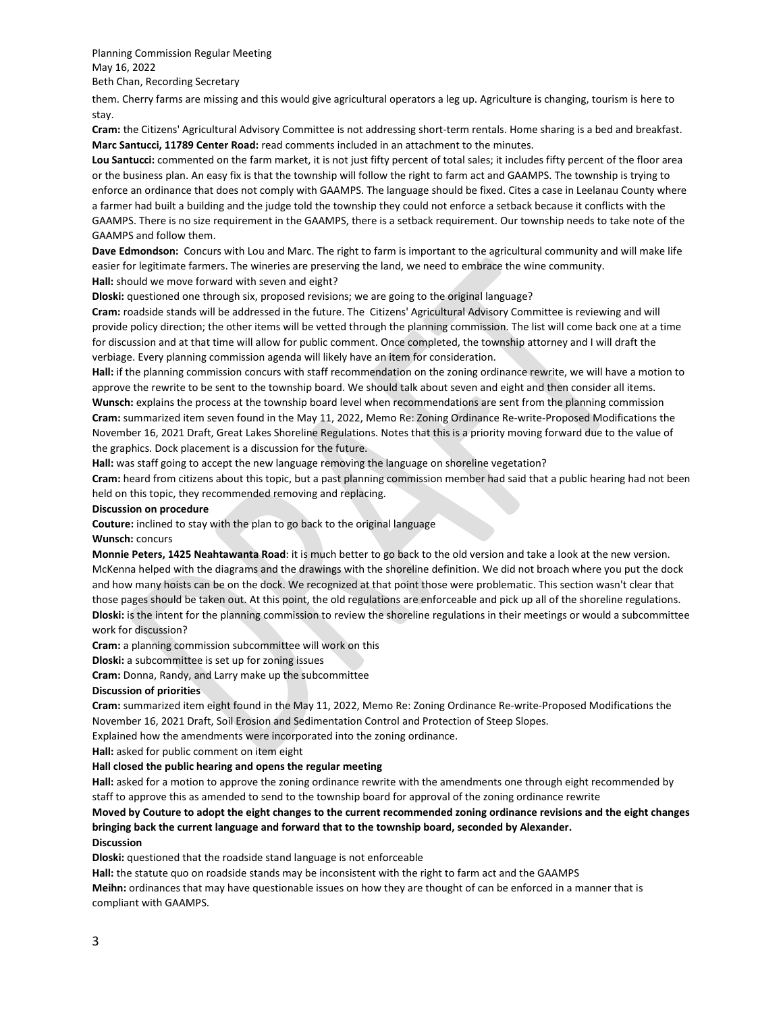Planning Commission Regular Meeting May 16, 2022 Beth Chan, Recording Secretary

them. Cherry farms are missing and this would give agricultural operators a leg up. Agriculture is changing, tourism is here to stay.

**Cram:** the Citizens' Agricultural Advisory Committee is not addressing short-term rentals. Home sharing is a bed and breakfast. **Marc Santucci, 11789 Center Road:** read comments included in an attachment to the minutes.

**Lou Santucci:** commented on the farm market, it is not just fifty percent of total sales; it includes fifty percent of the floor area or the business plan. An easy fix is that the township will follow the right to farm act and GAAMPS. The township is trying to enforce an ordinance that does not comply with GAAMPS. The language should be fixed. Cites a case in Leelanau County where a farmer had built a building and the judge told the township they could not enforce a setback because it conflicts with the GAAMPS. There is no size requirement in the GAAMPS, there is a setback requirement. Our township needs to take note of the GAAMPS and follow them.

**Dave Edmondson:** Concurs with Lou and Marc. The right to farm is important to the agricultural community and will make life easier for legitimate farmers. The wineries are preserving the land, we need to embrace the wine community. **Hall:** should we move forward with seven and eight?

**Dloski:** questioned one through six, proposed revisions; we are going to the original language?

**Cram:** roadside stands will be addressed in the future. The Citizens' Agricultural Advisory Committee is reviewing and will provide policy direction; the other items will be vetted through the planning commission. The list will come back one at a time for discussion and at that time will allow for public comment. Once completed, the township attorney and I will draft the verbiage. Every planning commission agenda will likely have an item for consideration.

**Hall:** if the planning commission concurs with staff recommendation on the zoning ordinance rewrite, we will have a motion to approve the rewrite to be sent to the township board. We should talk about seven and eight and then consider all items. **Wunsch:** explains the process at the township board level when recommendations are sent from the planning commission **Cram:** summarized item seven found in the May 11, 2022, Memo Re: Zoning Ordinance Re-write-Proposed Modifications the November 16, 2021 Draft, Great Lakes Shoreline Regulations. Notes that this is a priority moving forward due to the value of the graphics. Dock placement is a discussion for the future.

**Hall:** was staff going to accept the new language removing the language on shoreline vegetation?

**Cram:** heard from citizens about this topic, but a past planning commission member had said that a public hearing had not been held on this topic, they recommended removing and replacing.

#### **Discussion on procedure**

**Couture:** inclined to stay with the plan to go back to the original language

#### **Wunsch:** concurs

**Monnie Peters, 1425 Neahtawanta Road**: it is much better to go back to the old version and take a look at the new version. McKenna helped with the diagrams and the drawings with the shoreline definition. We did not broach where you put the dock and how many hoists can be on the dock. We recognized at that point those were problematic. This section wasn't clear that those pages should be taken out. At this point, the old regulations are enforceable and pick up all of the shoreline regulations. **Dloski:** is the intent for the planning commission to review the shoreline regulations in their meetings or would a subcommittee work for discussion?

**Cram:** a planning commission subcommittee will work on this

**Dloski:** a subcommittee is set up for zoning issues

**Cram:** Donna, Randy, and Larry make up the subcommittee

#### **Discussion of priorities**

**Cram:** summarized item eight found in the May 11, 2022, Memo Re: Zoning Ordinance Re-write-Proposed Modifications the November 16, 2021 Draft, Soil Erosion and Sedimentation Control and Protection of Steep Slopes.

Explained how the amendments were incorporated into the zoning ordinance.

**Hall:** asked for public comment on item eight

#### **Hall closed the public hearing and opens the regular meeting**

**Hall:** asked for a motion to approve the zoning ordinance rewrite with the amendments one through eight recommended by staff to approve this as amended to send to the township board for approval of the zoning ordinance rewrite

# **Moved by Couture to adopt the eight changes to the current recommended zoning ordinance revisions and the eight changes bringing back the current language and forward that to the township board, seconded by Alexander.**

#### **Discussion**

**Dloski:** questioned that the roadside stand language is not enforceable

**Hall:** the statute quo on roadside stands may be inconsistent with the right to farm act and the GAAMPS

**Meihn:** ordinances that may have questionable issues on how they are thought of can be enforced in a manner that is compliant with GAAMPS.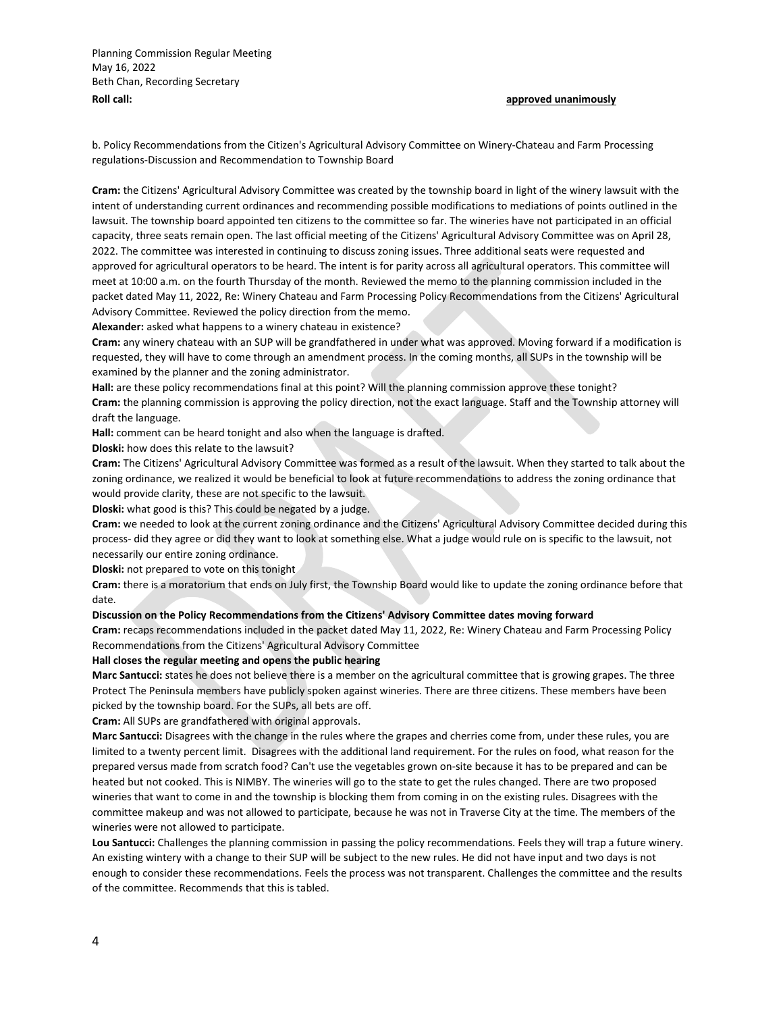Planning Commission Regular Meeting May 16, 2022 Beth Chan, Recording Secretary **Roll call: Roll call: Roll call: Roll call: approved unanimously** 

b. Policy Recommendations from the Citizen's Agricultural Advisory Committee on Winery-Chateau and Farm Processing regulations-Discussion and Recommendation to Township Board

**Cram:** the Citizens' Agricultural Advisory Committee was created by the township board in light of the winery lawsuit with the intent of understanding current ordinances and recommending possible modifications to mediations of points outlined in the lawsuit. The township board appointed ten citizens to the committee so far. The wineries have not participated in an official capacity, three seats remain open. The last official meeting of the Citizens' Agricultural Advisory Committee was on April 28, 2022. The committee was interested in continuing to discuss zoning issues. Three additional seats were requested and approved for agricultural operators to be heard. The intent is for parity across all agricultural operators. This committee will meet at 10:00 a.m. on the fourth Thursday of the month. Reviewed the memo to the planning commission included in the packet dated May 11, 2022, Re: Winery Chateau and Farm Processing Policy Recommendations from the Citizens' Agricultural Advisory Committee. Reviewed the policy direction from the memo.

**Alexander:** asked what happens to a winery chateau in existence?

**Cram:** any winery chateau with an SUP will be grandfathered in under what was approved. Moving forward if a modification is requested, they will have to come through an amendment process. In the coming months, all SUPs in the township will be examined by the planner and the zoning administrator.

**Hall:** are these policy recommendations final at this point? Will the planning commission approve these tonight? **Cram:** the planning commission is approving the policy direction, not the exact language. Staff and the Township attorney will draft the language.

**Hall:** comment can be heard tonight and also when the language is drafted.

**Dloski:** how does this relate to the lawsuit?

**Cram:** The Citizens' Agricultural Advisory Committee was formed as a result of the lawsuit. When they started to talk about the zoning ordinance, we realized it would be beneficial to look at future recommendations to address the zoning ordinance that would provide clarity, these are not specific to the lawsuit.

**Dloski:** what good is this? This could be negated by a judge.

**Cram:** we needed to look at the current zoning ordinance and the Citizens' Agricultural Advisory Committee decided during this process- did they agree or did they want to look at something else. What a judge would rule on is specific to the lawsuit, not necessarily our entire zoning ordinance.

**Dloski:** not prepared to vote on this tonight

**Cram:** there is a moratorium that ends on July first, the Township Board would like to update the zoning ordinance before that date.

#### **Discussion on the Policy Recommendations from the Citizens' Advisory Committee dates moving forward**

**Cram:** recaps recommendations included in the packet dated May 11, 2022, Re: Winery Chateau and Farm Processing Policy Recommendations from the Citizens' Agricultural Advisory Committee

#### **Hall closes the regular meeting and opens the public hearing**

**Marc Santucci:** states he does not believe there is a member on the agricultural committee that is growing grapes. The three Protect The Peninsula members have publicly spoken against wineries. There are three citizens. These members have been picked by the township board. For the SUPs, all bets are off.

**Cram:** All SUPs are grandfathered with original approvals.

**Marc Santucci:** Disagrees with the change in the rules where the grapes and cherries come from, under these rules, you are limited to a twenty percent limit. Disagrees with the additional land requirement. For the rules on food, what reason for the prepared versus made from scratch food? Can't use the vegetables grown on-site because it has to be prepared and can be heated but not cooked. This is NIMBY. The wineries will go to the state to get the rules changed. There are two proposed wineries that want to come in and the township is blocking them from coming in on the existing rules. Disagrees with the committee makeup and was not allowed to participate, because he was not in Traverse City at the time. The members of the wineries were not allowed to participate.

**Lou Santucci:** Challenges the planning commission in passing the policy recommendations. Feels they will trap a future winery. An existing wintery with a change to their SUP will be subject to the new rules. He did not have input and two days is not enough to consider these recommendations. Feels the process was not transparent. Challenges the committee and the results of the committee. Recommends that this is tabled.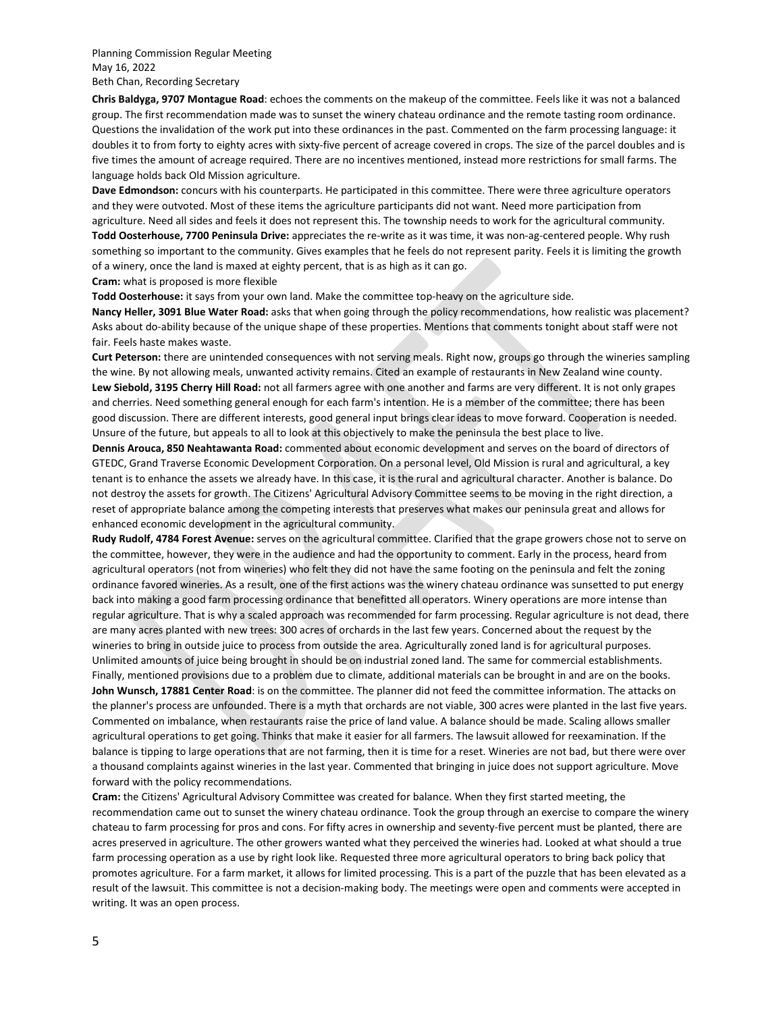Planning Commission Regular Meeting May 16, 2022 Beth Chan, Recording Secretary

**Chris Baldyga, 9707 Montague Road**: echoes the comments on the makeup of the committee. Feels like it was not a balanced group. The first recommendation made was to sunset the winery chateau ordinance and the remote tasting room ordinance. Questions the invalidation of the work put into these ordinances in the past. Commented on the farm processing language: it doubles it to from forty to eighty acres with sixty-five percent of acreage covered in crops. The size of the parcel doubles and is five times the amount of acreage required. There are no incentives mentioned, instead more restrictions for small farms. The language holds back Old Mission agriculture.

**Dave Edmondson:** concurs with his counterparts. He participated in this committee. There were three agriculture operators and they were outvoted. Most of these items the agriculture participants did not want. Need more participation from agriculture. Need all sides and feels it does not represent this. The township needs to work for the agricultural community. **Todd Oosterhouse, 7700 Peninsula Drive:** appreciates the re-write as it was time, it was non-ag-centered people. Why rush something so important to the community. Gives examples that he feels do not represent parity. Feels it is limiting the growth of a winery, once the land is maxed at eighty percent, that is as high as it can go.

**Cram:** what is proposed is more flexible

**Todd Oosterhouse:** it says from your own land. Make the committee top-heavy on the agriculture side.

**Nancy Heller, 3091 Blue Water Road:** asks that when going through the policy recommendations, how realistic was placement? Asks about do-ability because of the unique shape of these properties. Mentions that comments tonight about staff were not fair. Feels haste makes waste.

**Curt Peterson:** there are unintended consequences with not serving meals. Right now, groups go through the wineries sampling the wine. By not allowing meals, unwanted activity remains. Cited an example of restaurants in New Zealand wine county. **Lew Siebold, 3195 Cherry Hill Road:** not all farmers agree with one another and farms are very different. It is not only grapes and cherries. Need something general enough for each farm's intention. He is a member of the committee; there has been good discussion. There are different interests, good general input brings clear ideas to move forward. Cooperation is needed. Unsure of the future, but appeals to all to look at this objectively to make the peninsula the best place to live.

**Dennis Arouca, 850 Neahtawanta Road:** commented about economic development and serves on the board of directors of GTEDC, Grand Traverse Economic Development Corporation. On a personal level, Old Mission is rural and agricultural, a key tenant is to enhance the assets we already have. In this case, it is the rural and agricultural character. Another is balance. Do not destroy the assets for growth. The Citizens' Agricultural Advisory Committee seems to be moving in the right direction, a reset of appropriate balance among the competing interests that preserves what makes our peninsula great and allows for enhanced economic development in the agricultural community.

**Rudy Rudolf, 4784 Forest Avenue:** serves on the agricultural committee. Clarified that the grape growers chose not to serve on the committee, however, they were in the audience and had the opportunity to comment. Early in the process, heard from agricultural operators (not from wineries) who felt they did not have the same footing on the peninsula and felt the zoning ordinance favored wineries. As a result, one of the first actions was the winery chateau ordinance was sunsetted to put energy back into making a good farm processing ordinance that benefitted all operators. Winery operations are more intense than regular agriculture. That is why a scaled approach was recommended for farm processing. Regular agriculture is not dead, there are many acres planted with new trees: 300 acres of orchards in the last few years. Concerned about the request by the wineries to bring in outside juice to process from outside the area. Agriculturally zoned land is for agricultural purposes. Unlimited amounts of juice being brought in should be on industrial zoned land. The same for commercial establishments. Finally, mentioned provisions due to a problem due to climate, additional materials can be brought in and are on the books. **John Wunsch, 17881 Center Road**: is on the committee. The planner did not feed the committee information. The attacks on the planner's process are unfounded. There is a myth that orchards are not viable, 300 acres were planted in the last five years. Commented on imbalance, when restaurants raise the price of land value. A balance should be made. Scaling allows smaller agricultural operations to get going. Thinks that make it easier for all farmers. The lawsuit allowed for reexamination. If the balance is tipping to large operations that are not farming, then it is time for a reset. Wineries are not bad, but there were over a thousand complaints against wineries in the last year. Commented that bringing in juice does not support agriculture. Move forward with the policy recommendations.

**Cram:** the Citizens' Agricultural Advisory Committee was created for balance. When they first started meeting, the recommendation came out to sunset the winery chateau ordinance. Took the group through an exercise to compare the winery chateau to farm processing for pros and cons. For fifty acres in ownership and seventy-five percent must be planted, there are acres preserved in agriculture. The other growers wanted what they perceived the wineries had. Looked at what should a true farm processing operation as a use by right look like. Requested three more agricultural operators to bring back policy that promotes agriculture. For a farm market, it allows for limited processing. This is a part of the puzzle that has been elevated as a result of the lawsuit. This committee is not a decision-making body. The meetings were open and comments were accepted in writing. It was an open process.